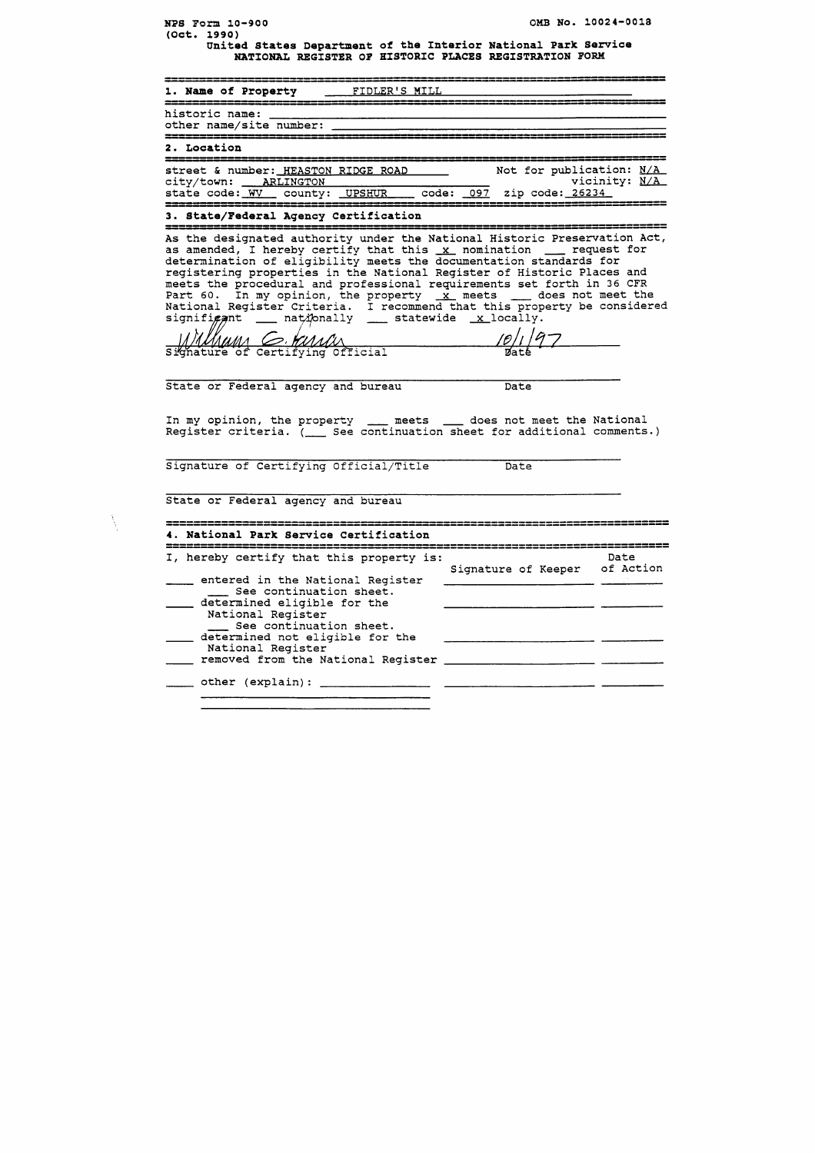| OMB No. 10024-0018<br>NPS Form 10-900<br>(Oct. 1990)                                                                                                                                                                                                                                                                                                                                                                                                                                                                                                                                                        |
|-------------------------------------------------------------------------------------------------------------------------------------------------------------------------------------------------------------------------------------------------------------------------------------------------------------------------------------------------------------------------------------------------------------------------------------------------------------------------------------------------------------------------------------------------------------------------------------------------------------|
| United States Department of the Interior National Park Service<br>NATIONAL REGISTER OF HISTORIC PLACES REGISTRATION FORM                                                                                                                                                                                                                                                                                                                                                                                                                                                                                    |
| 1. Name of Property _______FIDLER'S MILL                                                                                                                                                                                                                                                                                                                                                                                                                                                                                                                                                                    |
| historic name:<br>other name/site number:                                                                                                                                                                                                                                                                                                                                                                                                                                                                                                                                                                   |
| 2. Location                                                                                                                                                                                                                                                                                                                                                                                                                                                                                                                                                                                                 |
| Not for publication: N/A<br>street & number: HEASTON RIDGE ROAD<br>vicinity: N/A<br>city/town: ARLINGTON<br>code: 097 zip code: 26234<br>state code: WV _ county: _UPSHUR                                                                                                                                                                                                                                                                                                                                                                                                                                   |
| 3. State/Federal Agency Certification                                                                                                                                                                                                                                                                                                                                                                                                                                                                                                                                                                       |
| As the designated authority under the National Historic Preservation Act,<br>as amended, I hereby certify that this x nomination __ request for<br>determination of eligibility meets the documentation standards for<br>registering properties in the National Register of Historic Places and<br>meets the procedural and professional requirements set forth in 36 CFR<br>Part 60. In my opinion, the property $\frac{x}{x}$ meets $\frac{1}{x}$ does not meet the<br>National Register Criteria. I recommend that this property be considered<br>signifigant ____ nationally ____ statewide _x_locally. |
| Signature of Certifying Official                                                                                                                                                                                                                                                                                                                                                                                                                                                                                                                                                                            |
| State or Federal agency and bureau<br>Date                                                                                                                                                                                                                                                                                                                                                                                                                                                                                                                                                                  |
| In my opinion, the property ____ meets ____ does not meet the National<br>Register criteria. ( See continuation sheet for additional comments.)                                                                                                                                                                                                                                                                                                                                                                                                                                                             |
| Signature of Certifying Official/Title<br>Date                                                                                                                                                                                                                                                                                                                                                                                                                                                                                                                                                              |
| State or Federal agency and bureau                                                                                                                                                                                                                                                                                                                                                                                                                                                                                                                                                                          |
| 4. National Park Service Certification                                                                                                                                                                                                                                                                                                                                                                                                                                                                                                                                                                      |
| I, hereby certify that this property is:<br>Date                                                                                                                                                                                                                                                                                                                                                                                                                                                                                                                                                            |
| Signature of Keeper of Action<br>entered in the National Register<br>See continuation sheet.<br>determined eligible for the<br>National Register<br>See continuation sheet.<br>determined not eligible for the<br>National Register<br>removed from the National Register                                                                                                                                                                                                                                                                                                                                   |
|                                                                                                                                                                                                                                                                                                                                                                                                                                                                                                                                                                                                             |

 $\tilde{\Delta}$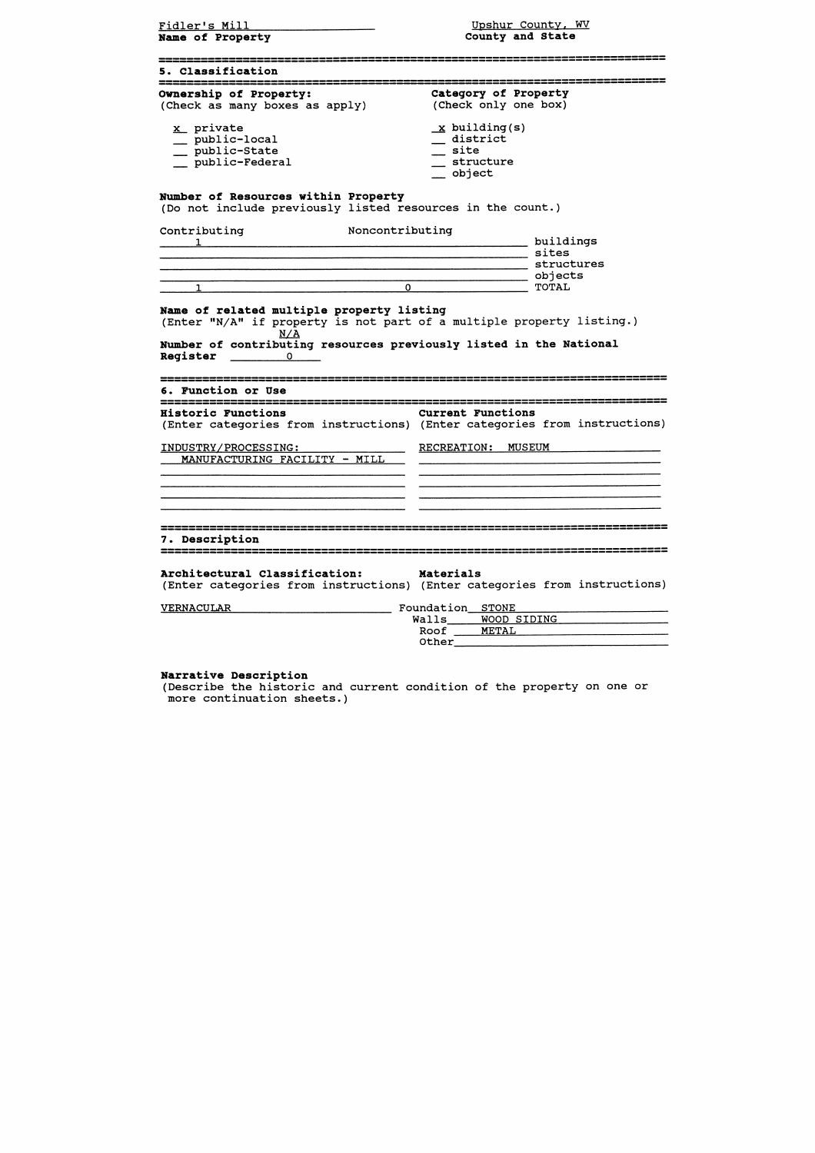| Fidler's Mill<br>Name of Property                                                                 | Upshur County, WV<br>County and State                                                                 |
|---------------------------------------------------------------------------------------------------|-------------------------------------------------------------------------------------------------------|
| 5. Classification                                                                                 |                                                                                                       |
| Ownership of Property:<br>(Check as many boxes as apply)                                          | Category of Property<br>(Check only one box)                                                          |
| x private<br>__ public-local<br>__ public-State<br>__ public-Federal                              | $x$ building(s)<br>$\_$ district<br>$\_$ site<br>_ structure<br>__ object                             |
| Number of Resources within Property<br>(Do not include previously listed resources in the count.) |                                                                                                       |
| Noncontributing<br>Contributing                                                                   | buildings<br>$\_$ sites<br>_ structures                                                               |
| $\mathbf{O}$<br>1                                                                                 | __ objects<br>TOTAL                                                                                   |
| <b>Register</b><br>$\Omega$ and $\Omega$<br>6. Function or Use                                    |                                                                                                       |
| <b>Historic Functions</b>                                                                         | <b>Current Functions</b><br>(Enter categories from instructions) (Enter categories from instructions) |
| INDUSTRY/PROCESSING:<br>MANUFACTURING FACILITY - MILL                                             | <b>RECREATION:</b><br><b>MUSEUM</b>                                                                   |
| 7. Description                                                                                    |                                                                                                       |
| Architectural Classification:                                                                     | Materials<br>(Enter categories from instructions) (Enter categories from instructions)                |
| <b>VERNACULAR</b>                                                                                 | Foundation STONE                                                                                      |
|                                                                                                   | WOOD SIDING<br>Walls<br>Roof<br><b>METAL</b><br>Other                                                 |

**Narrative Description**<br>(Describe the historic and current condition of the property on one or<br>more continuation sheets.)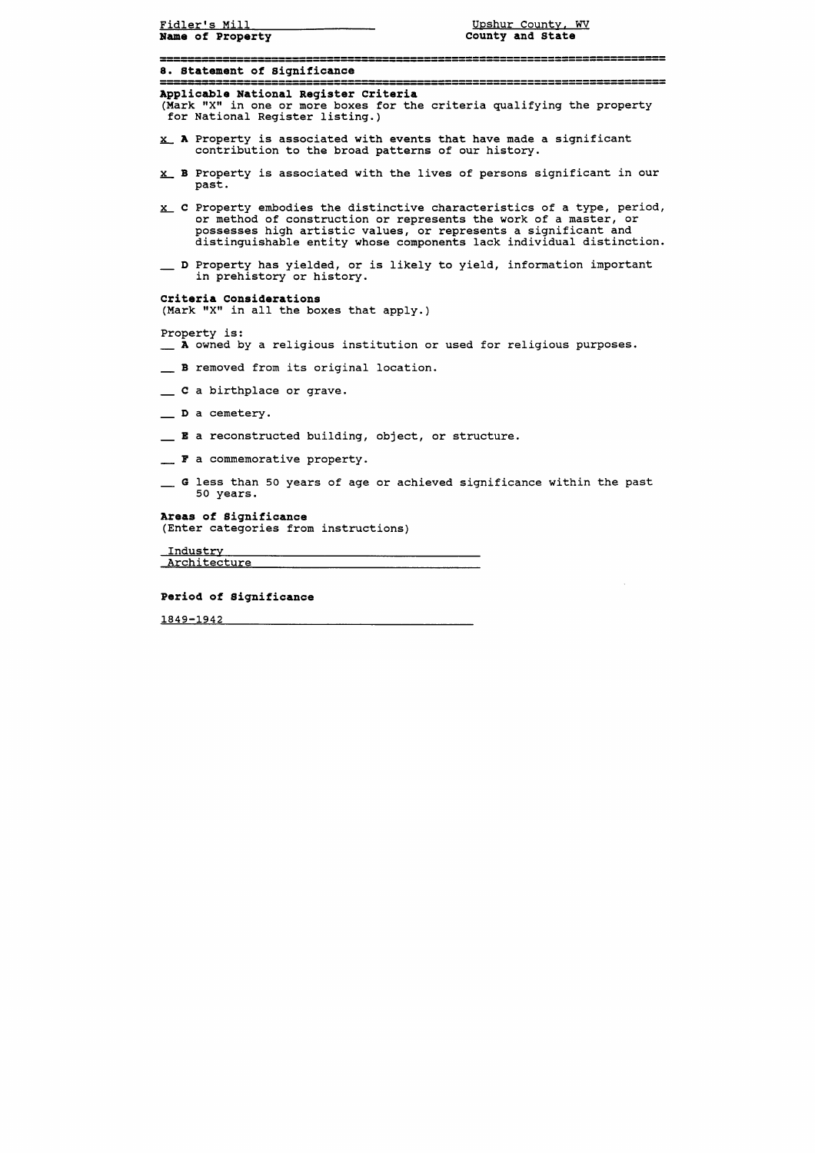| Fidler's Mill<br>Name of Property                                        | Upshur County, WV<br>County and State                                                                                                                                                                                                                                                         |
|--------------------------------------------------------------------------|-----------------------------------------------------------------------------------------------------------------------------------------------------------------------------------------------------------------------------------------------------------------------------------------------|
| 8. Statement of Significance                                             |                                                                                                                                                                                                                                                                                               |
| Applicable National Register Criteria<br>for National Register listing.) | (Mark "X" in one or more boxes for the criteria qualifying the property                                                                                                                                                                                                                       |
| contribution to the broad patterns of our history.                       | X A Property is associated with events that have made a significant                                                                                                                                                                                                                           |
| past.                                                                    | x B Property is associated with the lives of persons significant in our                                                                                                                                                                                                                       |
|                                                                          | $x_{-}$ C Property embodies the distinctive characteristics of a type, period,<br>or method of construction or represents the work of a master, or<br>possesses high artistic values, or represents a significant and<br>distinguishable entity whose components lack individual distinction. |
| in prehistory or history.                                                | _ D Property has yielded, or is likely to yield, information important                                                                                                                                                                                                                        |
| Criteria Considerations<br>(Mark "X" in all the boxes that apply.)       |                                                                                                                                                                                                                                                                                               |
| Property is:                                                             | A owned by a religious institution or used for religious purposes.                                                                                                                                                                                                                            |
| B removed from its original location.                                    |                                                                                                                                                                                                                                                                                               |
| C a birthplace or grave.                                                 |                                                                                                                                                                                                                                                                                               |
| _ D a cemetery.                                                          |                                                                                                                                                                                                                                                                                               |
| <b>E</b> a reconstructed building, object, or structure.                 |                                                                                                                                                                                                                                                                                               |
| F a commemorative property.                                              |                                                                                                                                                                                                                                                                                               |
| 50 years.                                                                | G less than 50 years of age or achieved significance within the past                                                                                                                                                                                                                          |
| Areas of Significance<br>(Enter categories from instructions)            |                                                                                                                                                                                                                                                                                               |
| Industry                                                                 |                                                                                                                                                                                                                                                                                               |
| Architecture                                                             |                                                                                                                                                                                                                                                                                               |

**Period of Significance** 

1849-1942 2001 12:00:00 12:00:00 12:00:00 12:00:00 12:00:00 12:00:00 12:00:00 12:00:00 12:00:00 12:00:00 12:00:00 12:00:00 12:00:00 12:00:00 12:00:00 12:00:00 12:00:00 12:00:00 12:00:00 12:00:00 12:00:00 12:00:00 12:00:00 1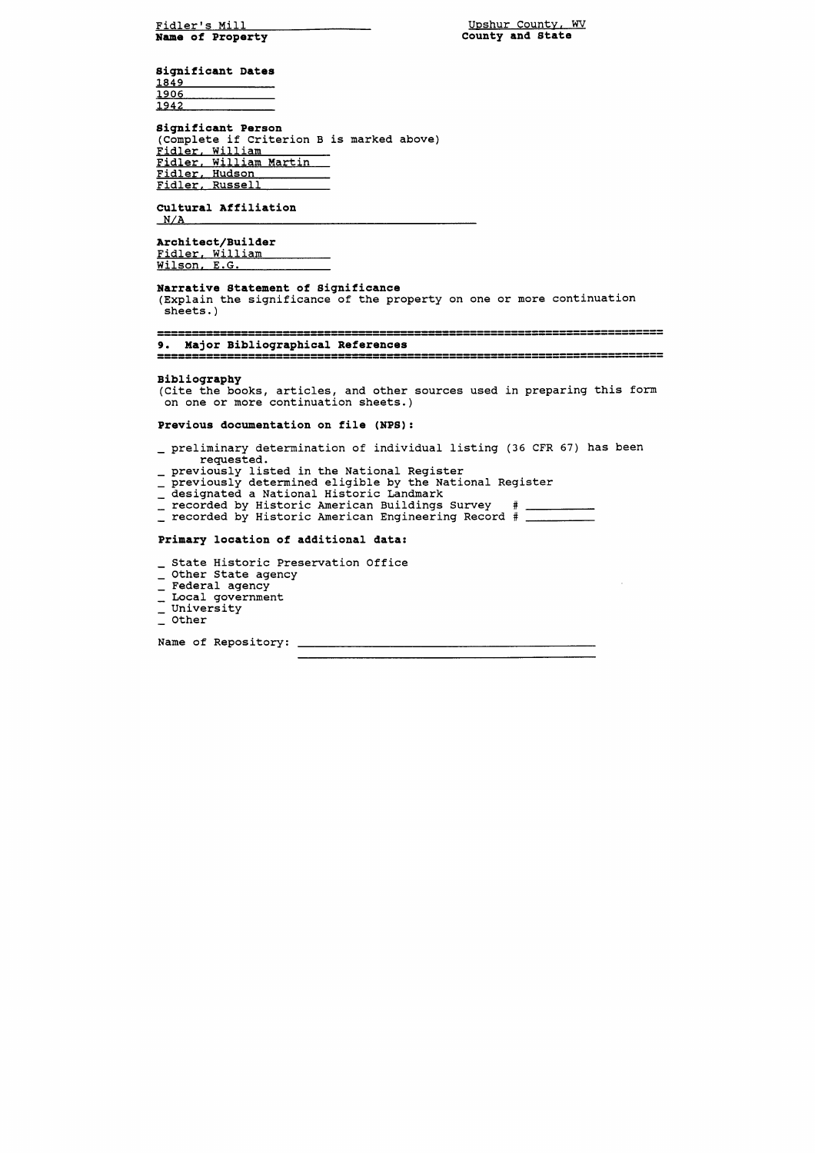Fidler's Mill **Name of Property** 

Upshur County, WV **County and State** 

**Significant Dates**  1849 1906 1942

## **Significant Person**  (Complete if Criterion B is marked above) Fidler, William Fidler. William Martin Fidler. Hudson Fidler. Russell

**Cultural Affiliation** 

**Architect/Builder**  Fidler. William Wilson, E.G.

- preliminary determination of individual listing (36 CFR 67) has been requested.
- previously listed in the National Register
- previously determined eligible by the National Register
- \_ designated a National Historic Landmark
- recorded by Historic American Buildings Survey #
- recorded by Historic American Engineering Record #

#### **Narrative Statement of Significance**

(Explain the significance of the property on one or more continuation sheets. )

9. Major Bibliographical References 

### **Bibliography**

(Cite the books, articles, and other sources used in preparing this form on one or more continuation sheets.)

**Previous documentation on file (NPS):** 

# **Primary location of additional data:**

- \_ State Historic Preservation Office
- \_ Other State agency
- \_ Federal agency
- \_ Federal agency<br>\_ Local government<br>\_ Hainencity
- \_ Local gover<br>\_ University<br>\_ ^ther - University<br>- Other
- 

Name of Repository: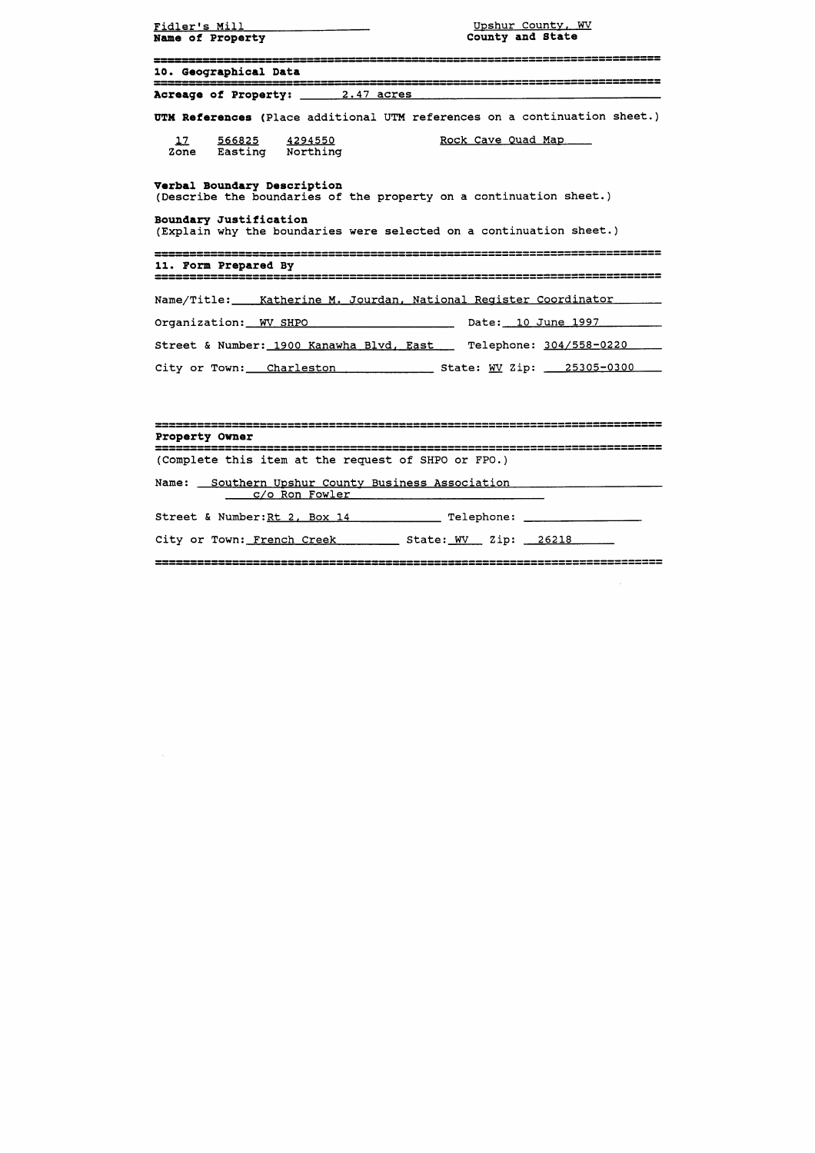| Fidler's Mill <b>Example 2014</b><br><b>Name of Property</b> | Upshur County, WV<br>County and State                                                                                                     |  |
|--------------------------------------------------------------|-------------------------------------------------------------------------------------------------------------------------------------------|--|
| 10. Geographical Data                                        |                                                                                                                                           |  |
| Acreage of Property: 2.47 acres                              |                                                                                                                                           |  |
|                                                              | UTM References (Place additional UTM references on a continuation sheet.)                                                                 |  |
| 17 566825 4294550<br>Zone Easting Northing                   | Rock Cave Quad Map                                                                                                                        |  |
| Verbal Boundary Description<br>Boundary Justification        | (Describe the boundaries of the property on a continuation sheet.)<br>(Explain why the boundaries were selected on a continuation sheet.) |  |
| 11. Form Prepared By                                         |                                                                                                                                           |  |
|                                                              | Name/Title: __ Katherine M. Jourdan, National Register Coordinator                                                                        |  |
|                                                              |                                                                                                                                           |  |
|                                                              | Street & Number: 1900 Kanawha Blvd, East Telephone: 304/558-0220                                                                          |  |
|                                                              | City or Town: Charleston State: WV Zip: 25305-0300                                                                                        |  |

# Property Owner

(Complete this item at the request of SHPO or FPO.)

Name: <u>Southern Upshur County Business Association</u> <u>c/o Ron Fowler</u>

Street & Number:Rt **2,** Box **14** Telephone:

City or Town: French Creek State: **WV** Zip: **26218** 

 $\sim 10$ 

 $\sim$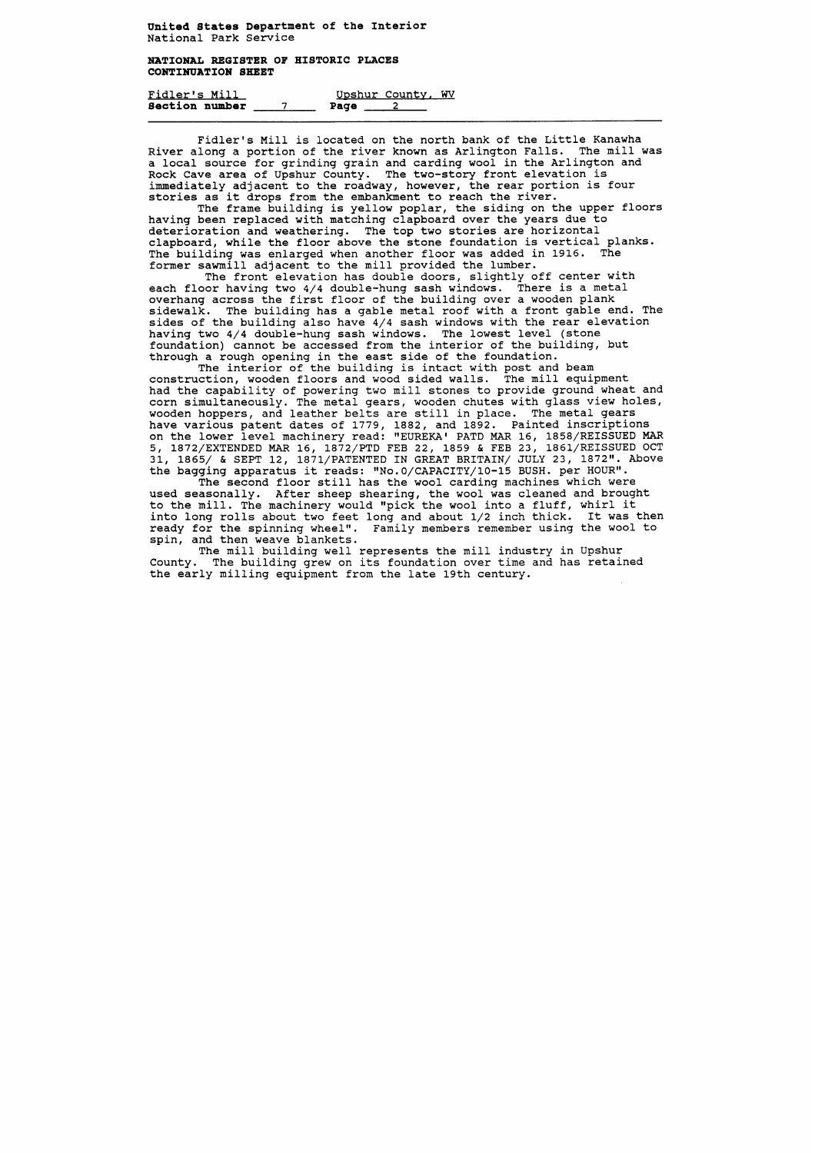**NATIONAL REGISTER OF HISTORIC PLACES CONTINUATION SHEET** 

| Fidler's Mill  |  |      | Upshur County, WV |  |
|----------------|--|------|-------------------|--|
| Section number |  | Page |                   |  |

Fidler's Mill is located on the north bank of the Little Kanawha River along a portion of the river known as Arlington Falls. The mill was a local source for grinding grain and carding wool in the Arlington and Rock Cave area of Upshur County. The two-story front elevation is immediately adjacent to the roadway, however, the rear portion is four stories as it drops from the embankment to reach the river.

The interior of the building is intact with post and beam construction, wooden floors and wood sided walls. The mill equipment had the capability of powering two mill stones to provide ground wheat and corn simultaneously. The metal gears, wooden chutes with glass view holes, wooden hoppers, and leather belts are still in place. The metal gears have various patent dates of 1779, 1882, and 1892. Painted inscriptions on the lower level machinery read: "EUREKA' PATD MAR 16, 1858/REISSUED MAR 5, 1872/EXTENDED MAR 16, 1872/PTD FEB 22, 1859 & FEB 23, 1861/REISSUED OCT 31, 1865/ & SEPT 12, 1871/PATENTED IN GREAT BRITAIN/ JULY 23, 1872". Above the bagging apparatus it reads: "No.0/CAPACITY/10-15 BUSH. per HOUR".

The frame building is yellow poplar, the siding on the upper floors having been replaced with matching clapboard over the years due to deterioration and weathering. The top two stories are horizontal clapboard, while the floor above the stone foundation is vertical planks. The building was enlarged when another floor was added in 1916. The former sawmill adjacent to the mill provided the lumber.

The front elevation has double doors, slightly off center with each floor having two 4/4 double-hung sash windows. There is a metal overhang across the first floor of the building over a wooden plank sidewalk. The building has a gable metal roof with a front gable end. The sides of the building also have 4/4 sash windows with the rear elevation having two 4/4 double-hung sash windows. The lowest level (stone foundation) cannot be accessed from the interior of the building, but through a rough opening in the east side of the foundation.

The second floor still has the wool carding machines which were used seasonally. After sheep shearing, the wool was cleaned and brought to the mill. The machinery would "pick the wool into a fluff, whirl it into long rolls about two feet long and about 1/2 inch thick. It was then ready for the spinning wheel". Family members remember using the wool to spin, and then weave blankets.

The mill building well represents the mill industry in Upshur County. The building grew on its foundation over time and has retained the early milling equipment from the late 19th century.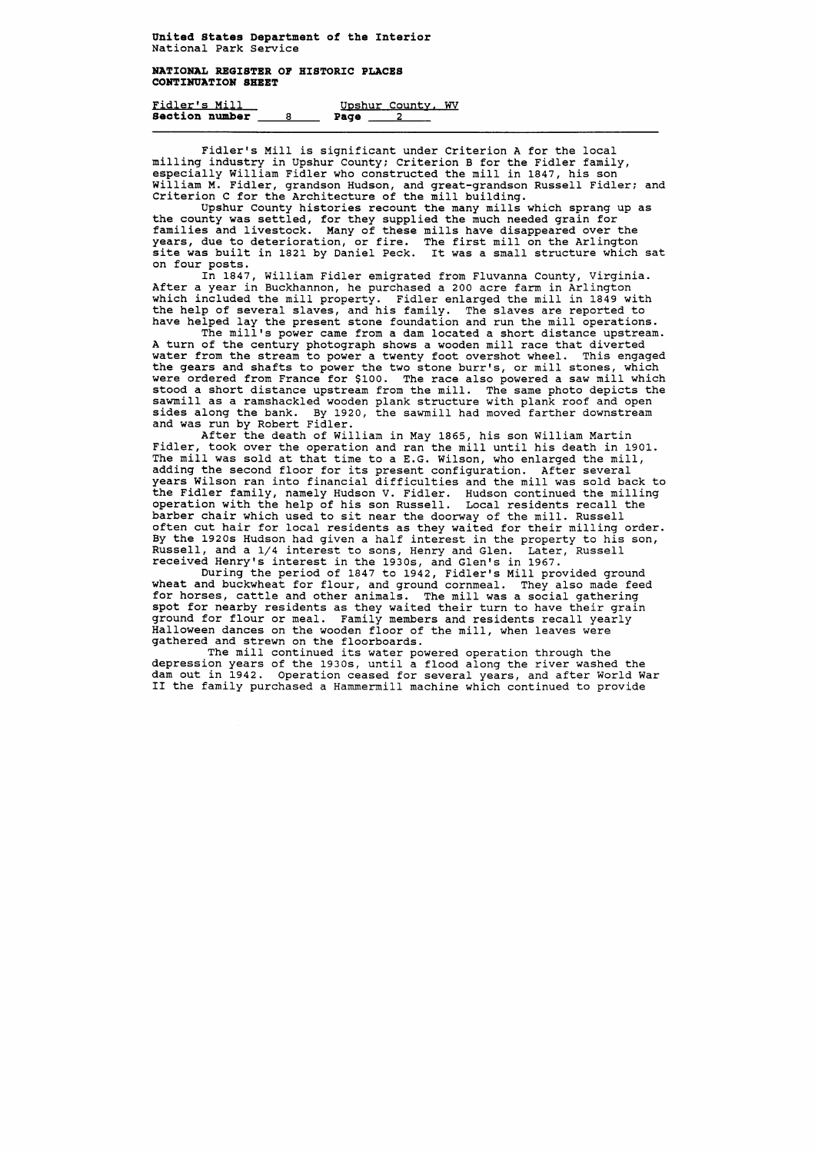### **NATIONAL REGISTER OF HISTORIC PLACES CONTINUATION SHEET**

| Fidler's Mill         |  |      | Upshur County, WV |  |
|-----------------------|--|------|-------------------|--|
| <b>Section number</b> |  | Page |                   |  |

Fidler's Mill is significant under Criterion A for the local milling industry in Upshur County; Criterion B for the Fidler family, especially William Fidler who constructed the mill in 1847, his son William M. Fidler, grandson Hudson, and great-grandson Russell Fidler; and Criterion C for the Architecture of the mill building.

Upshur County histories recount the many mills which sprang up as the county was settled, for they supplied the much needed grain for families and livestock. Many of these mills have disappeared over the years, due to deterioration, or fire. The first mill on the Arlington site was built in 1821 by Daniel Peck. It was a small structure which sat on four posts.

In 1847, William Fidler emigrated from Fluvanna County, Virginia. After a year in Buckhannon, he purchased a 200 acre farm in Arlington which included the mill property. Fidler enlarged the mill in 1849 with the help of several slaves, and his family. The slaves are reported to have helped lay the present stone foundation and run the mill operations.

The mill's power came from a dam located a short distance upstream. A turn of the century photograph shows a wooden mill race that diverted water from the stream to power a twenty foot overshot wheel. This engaged the gears and shafts to power the two stone burr's, or mill stones, which were ordered from France for \$100. The race also powered a saw mill which stood a short distance upstream from the mill. The same photo depicts the sawmill as a ramshackled wooden plank structure with plank roof and open sides along the bank. By 1920, the sawmill had moved farther downstream and was run by Robert Fidler.

During the period of 1847 to 1942, Fidler's Mill provided ground wheat and buckwheat for flour, and ground cornmeal. They also made feed for horses, cattle and other animals. The mill was a social gathering spot for nearby residents as they waited their turn to have their grain ground for flour or meal. Family members and residents recall yearly Halloween dances on the wooden floor of the mill, when leaves were gathered and strewn on the floorboards.

After the death of William in May 1865, his son William Martin Fidler, took over the operation and ran the mill until his death in 1901. The mill was sold at that time to a E.G. Wilson, who enlarged the mill, adding the second floor for its present configuration. After several years Wilson ran into financial difficulties and the mill was sold back to the Fidler family, namely Hudson V. Fidler. Hudson continued the milling operation with the help of his son Russell. Local residents recall the barber chair which used to sit near the doorway of the mill. Russell often cut hair for local residents as they waited for their milling order. By the 1920s Hudson had given a half interest in the property to his son, Russell, and a 1/4 interest to sons, Henry and Glen. Later, Russell received Henry's interest in the 1930s, and Glen's in 1967.

The mill continued its water powered operation through the depression years of the 1930s, until a flood along the river washed the dam out in 1942. Operation ceased for several years, and after World War I1 the family purchased a Hammermill machine which continued to provide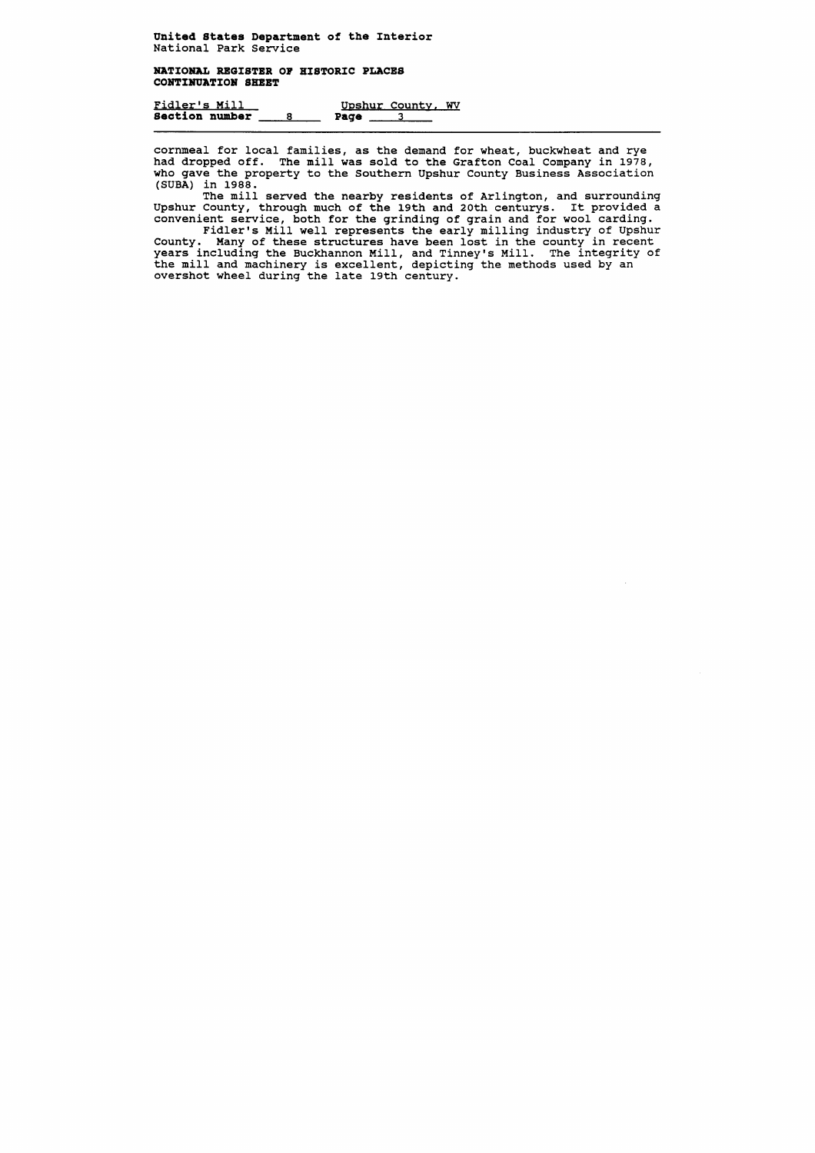**NATIONAL REGISTER OF HISTORIC PLACES CONTINUATION SHEET** 

Fidler9s Mill U~shur Countv, **WV Section number** 

cornmeal for local families, as the demand for wheat, buckwheat and rye had dropped off. The mill was sold to the Grafton Coal Company in 1978, who gave the property to the Southern Upshur County Business Association (SUBA) in 1988.

The mill served the nearby residents of Arlington, and surrounding Upshur County, through much of the 19th and 20th centurys. It provided a convenient service, both for the grinding of grain and for wool carding.

Fidler's Mill well represents the early milling industry of Upshur County. Many of these structures have been lost in the county in recent years including the Buckhannon Mill, and Tinney's Mill. The integrity of the mill and machinery is excellent, depicting the methods used by an overshot wheel during the late 19th century.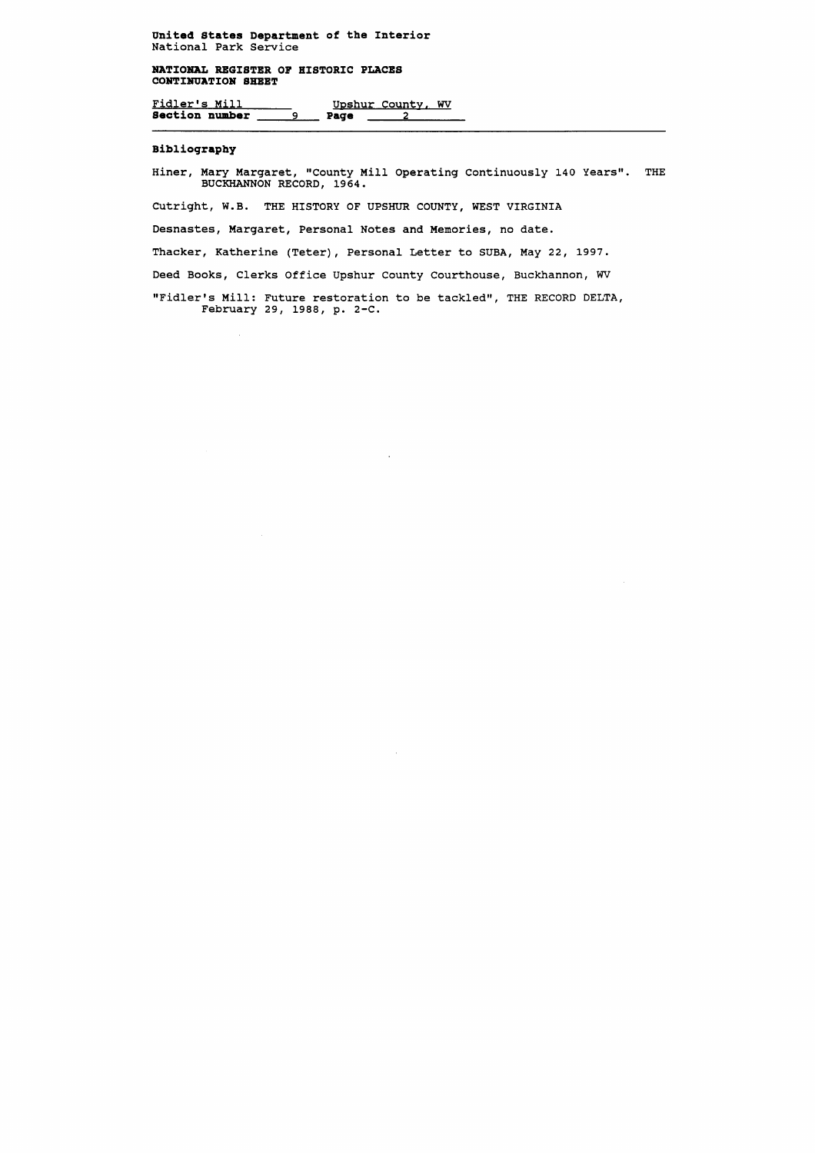**NATIONAL REGISTER OF HISTORIC PLACES CONTINUATION SHEET** 

Fidler's Mill Upshur County, WV **Sectionnumber 9 Page 2** 

Hiner, Mary Margaret, "County Mill Operating Continuously 140 Years". THE **BUCKHANNON RECORD, 19 64.** 

# **Bibliography**

 $\mathcal{A}$ 

"Fidler's Mill: Future restoration to be tackled", THE RECORD DELTA, **February 29, 1988, p. 2-C.** 

 $\ddot{\phantom{a}}$ 

**Cutright, W.B. THE HISTORY OF UPSHUR COUNTY, WEST VIRGINIA** 

**Desnastes, Margaret, Personal Notes and Memories, no date.** 

**Thacker, Katherine (Teter), Personal Letter to SUBA, May 22, 1997.** 

**Deed Books, Clerks Office Upshur County Courthouse, Buckhannon, WV**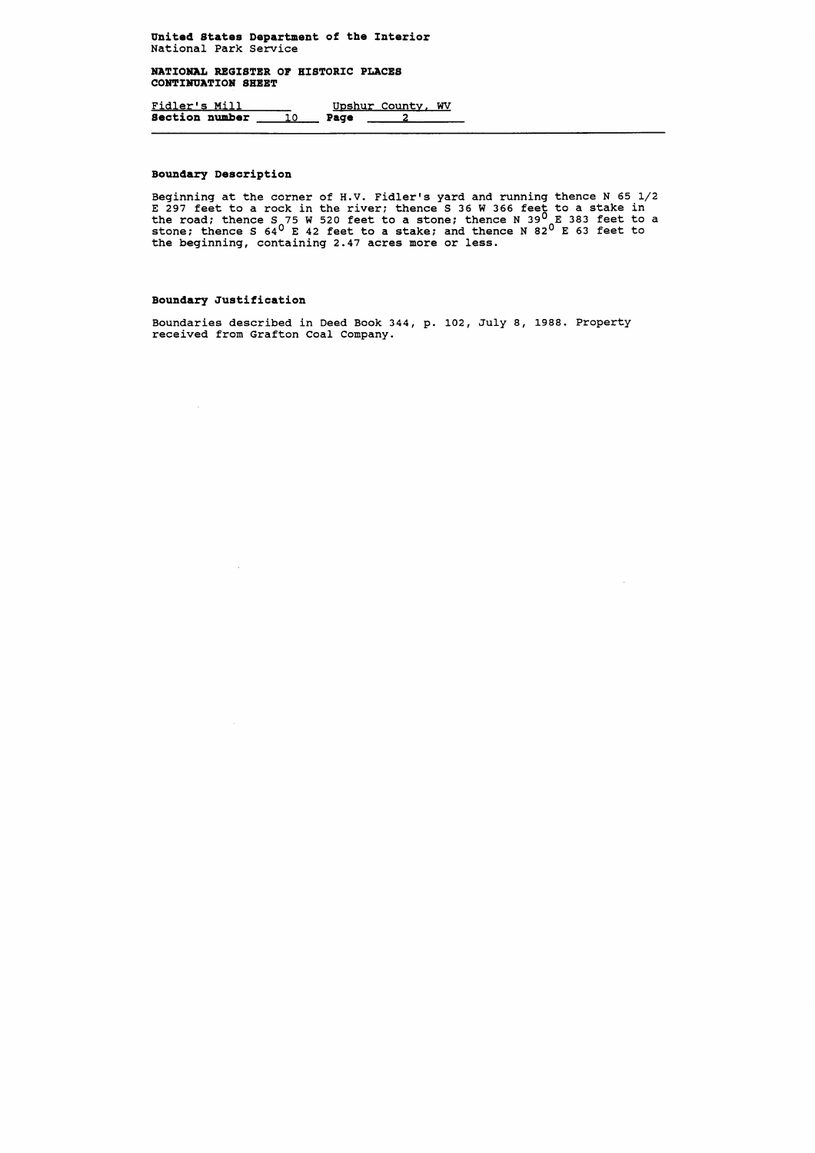**NATIONAL REGISTER OF HISTORIC PLACES CONTIXUATION SHEET** 

**Fidler's Mill Game Upshur County, WV Section number 10 Page 2 2** 

# **Boundary Description**

Beginning at the corner of H.V. Fidler's yard and running thence N 65 1/2 **E 297 feet to a rock in the river; thence S 36 W 366 feet to a stake in**  the road; thence S<sub>2</sub>75 W 520 feet to a stone; thence N 39<sup>0</sup> E 383 feet to a **stone; thence S 64' E 42 feet to a stake; and thence N 82' E 63 feet to the beginning, containing 2.47 acres more or less.** 

# **Boundary Justification**

 $\sim$   $\sim$ 

**Boundaries described in Deed Book 344, p. 102, July 8, 1988. Property received from Grafton Coal Company.**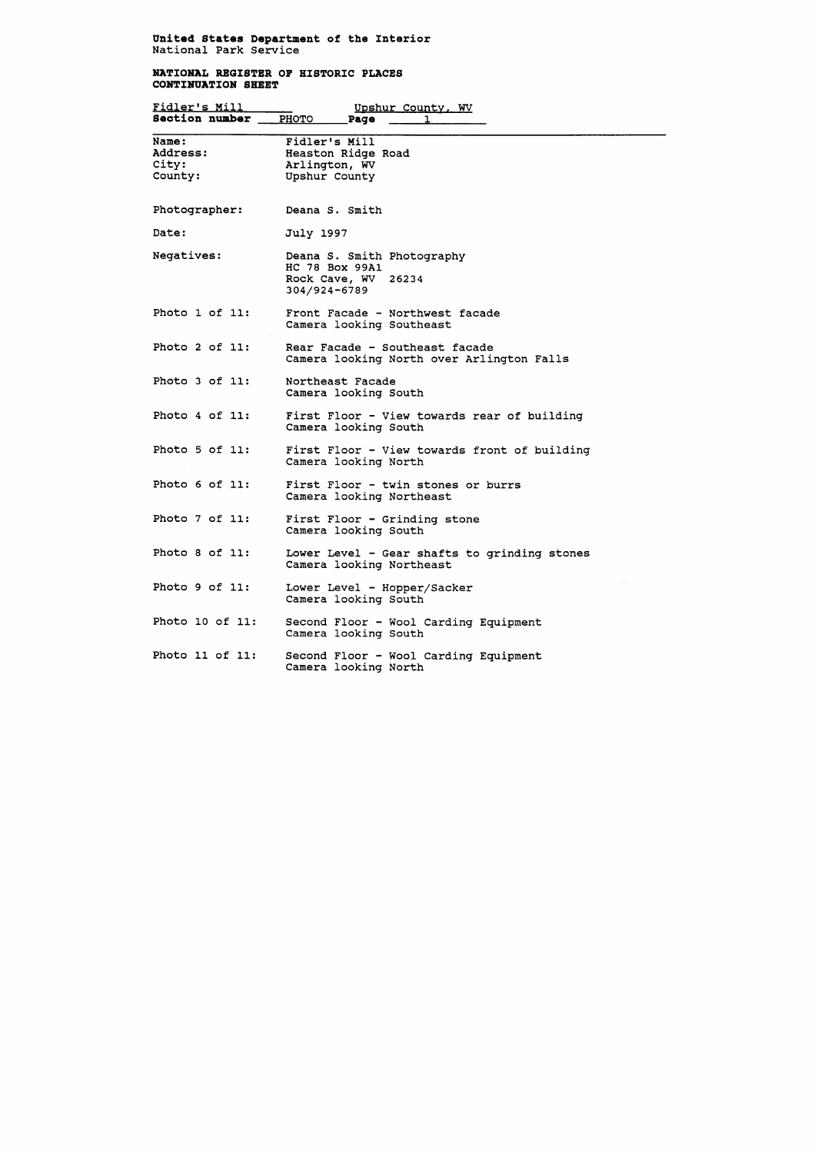## **NATIOMAL REGISTER OF HISTORIC PLACES CONTINUATION SHEET**

| Fidler's Mill                         | Upshur County, WV                                                                   |
|---------------------------------------|-------------------------------------------------------------------------------------|
| Section number                        | <b>PHOTO</b><br>Page                                                                |
| Name:<br>Address:<br>City:<br>County: | Fidler's Mill<br>Heaston Ridge Road<br>Arlington, WV<br>Upshur County               |
| Photographer:                         | Deana S. Smith                                                                      |
| Date:                                 | July 1997                                                                           |
| Negatives:                            | Deana S. Smith Photography<br>HC 78 Box 99A1<br>Rock Cave, WV 26234<br>304/924-6789 |
| Photo 1 of 11:                        | Front Facade - Northwest facade<br>Camera looking Southeast                         |
| Photo $2$ of $11$ :                   | Rear Facade - Southeast facade<br>Camera looking North over Arlington Falls         |
| Photo 3 of 11:                        | Northeast Facade<br>Camera looking South                                            |
| Photo 4 of 11:                        | First Floor - View towards rear of building<br>Camera looking South                 |
| Photo 5 of 11:                        | First Floor - View towards front of building<br>Camera looking North                |
| Photo 6 of 11:                        | First Floor - twin stones or burrs<br>Camera looking Northeast                      |
| Photo 7 of 11:                        | First Floor - Grinding stone<br>Camera looking South                                |
| Photo 8 of 11:                        | Lower Level - Gear shafts to grinding stones<br>Camera looking Northeast            |
| Photo 9 of 11:                        | Lower Level - Hopper/Sacker<br>Camera looking South                                 |
| Photo 10 of 11:                       | Second Floor - Wool Carding Equipment<br>Camera looking South                       |
| Photo 11 of 11:                       | Second Floor - Wool Carding Equipment<br>Camera looking North                       |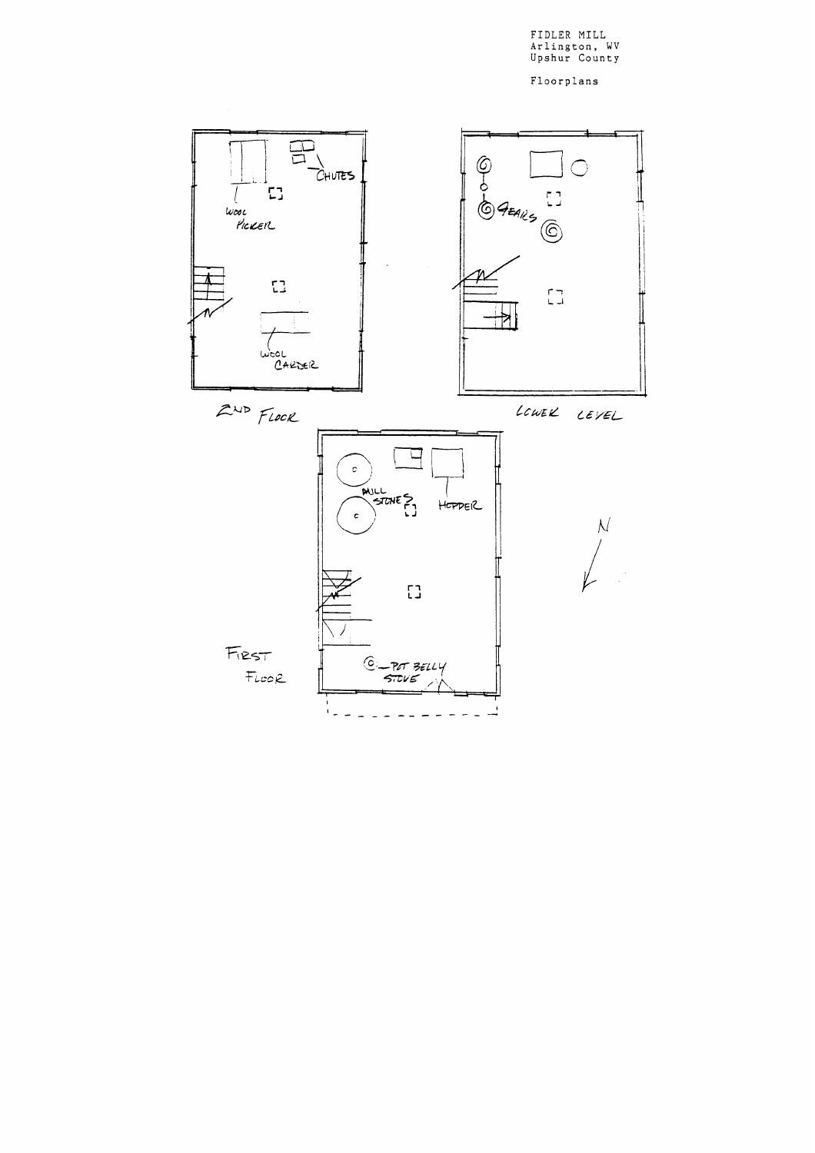FIDLER MILL Arlington, WV Upshur County

Floorplans

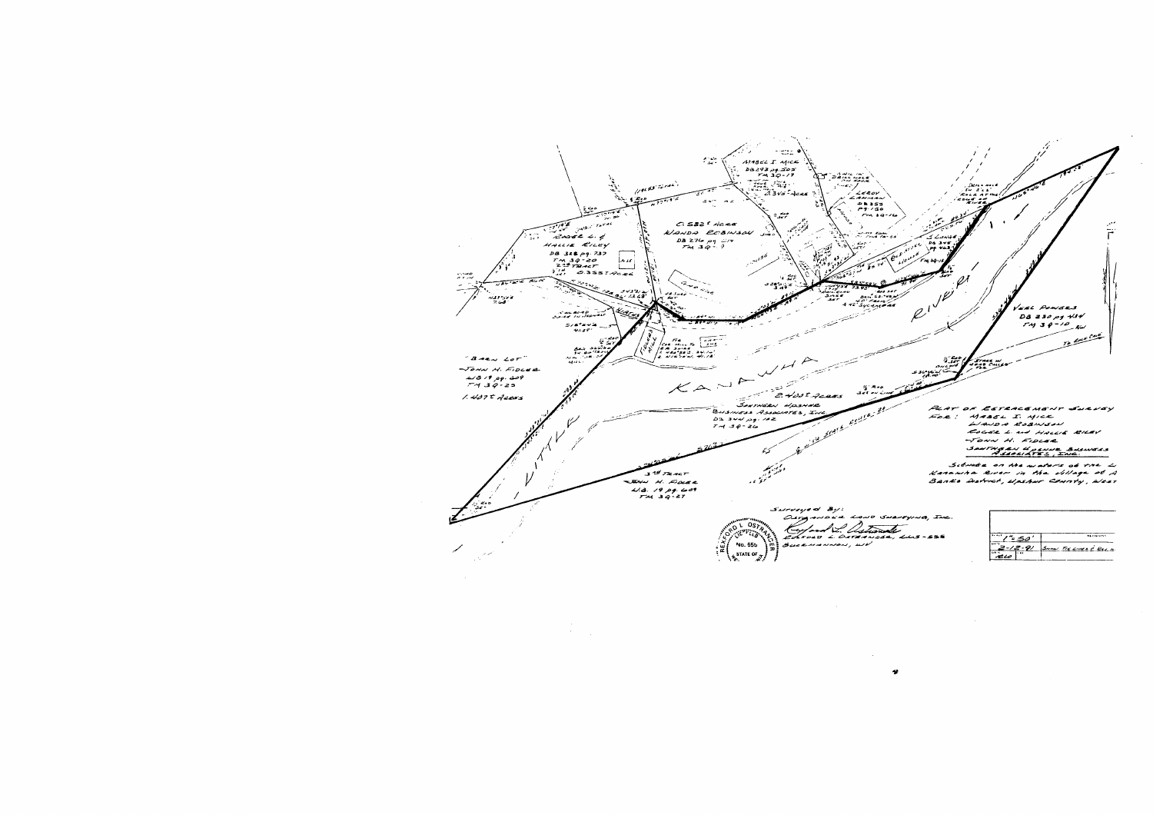

 $\sim 10^{-10}$ 

 $\pmb{\psi}$ 

| , Swarryner, Inc. |                  |                        |
|-------------------|------------------|------------------------|
| 444, LLS-555      | <b>Section</b>   | <b>NAVIGINS</b>        |
|                   | <b>DATE</b><br>. | SHAW TIE LINES & ROOM. |

 $\sim 10^7$